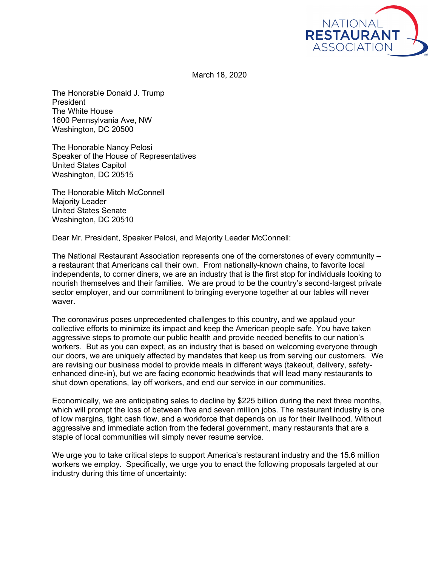

March 18, 2020

The Honorable Donald J. Trump President The White House 1600 Pennsylvania Ave, NW Washington, DC 20500

The Honorable Nancy Pelosi Speaker of the House of Representatives United States Capitol Washington, DC 20515

The Honorable Mitch McConnell Majority Leader United States Senate Washington, DC 20510

Dear Mr. President, Speaker Pelosi, and Majority Leader McConnell:

The National Restaurant Association represents one of the cornerstones of every community – a restaurant that Americans call their own. From nationally-known chains, to favorite local independents, to corner diners, we are an industry that is the first stop for individuals looking to nourish themselves and their families. We are proud to be the country's second-largest private sector employer, and our commitment to bringing everyone together at our tables will never waver.

The coronavirus poses unprecedented challenges to this country, and we applaud your collective efforts to minimize its impact and keep the American people safe. You have taken aggressive steps to promote our public health and provide needed benefits to our nation's workers. But as you can expect, as an industry that is based on welcoming everyone through our doors, we are uniquely affected by mandates that keep us from serving our customers. We are revising our business model to provide meals in different ways (takeout, delivery, safetyenhanced dine-in), but we are facing economic headwinds that will lead many restaurants to shut down operations, lay off workers, and end our service in our communities.

Economically, we are anticipating sales to decline by \$225 billion during the next three months, which will prompt the loss of between five and seven million jobs. The restaurant industry is one of low margins, tight cash flow, and a workforce that depends on us for their livelihood. Without aggressive and immediate action from the federal government, many restaurants that are a staple of local communities will simply never resume service.

We urge you to take critical steps to support America's restaurant industry and the 15.6 million workers we employ. Specifically, we urge you to enact the following proposals targeted at our industry during this time of uncertainty: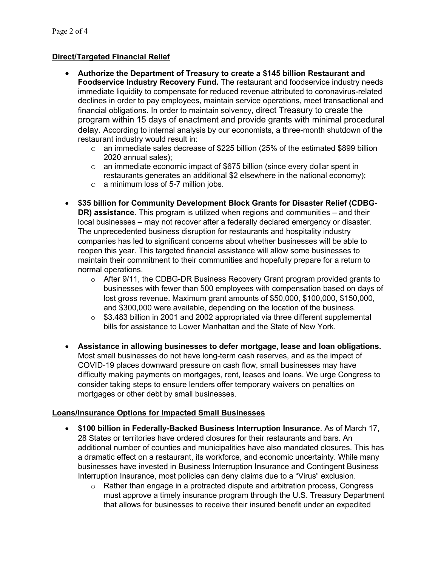## **Direct/Targeted Financial Relief**

- **Authorize the Department of Treasury to create a \$145 billion Restaurant and Foodservice Industry Recovery Fund.** The restaurant and foodservice industry needs immediate liquidity to compensate for reduced revenue attributed to coronavirus-related declines in order to pay employees, maintain service operations, meet transactional and financial obligations. In order to maintain solvency, direct Treasury to create the program within 15 days of enactment and provide grants with minimal procedural delay. According to internal analysis by our economists, a three-month shutdown of the restaurant industry would result in:
	- $\circ$  an immediate sales decrease of \$225 billion (25% of the estimated \$899 billion 2020 annual sales);
	- $\circ$  an immediate economic impact of \$675 billion (since every dollar spent in restaurants generates an additional \$2 elsewhere in the national economy);
	- o a minimum loss of 5-7 million jobs.
- **\$35 billion for Community Development Block Grants for Disaster Relief (CDBG-DR) assistance**. This program is utilized when regions and communities – and their local businesses – may not recover after a federally declared emergency or disaster. The unprecedented business disruption for restaurants and hospitality industry companies has led to significant concerns about whether businesses will be able to reopen this year. This targeted financial assistance will allow some businesses to maintain their commitment to their communities and hopefully prepare for a return to normal operations.
	- $\circ$  After 9/11, the CDBG-DR Business Recovery Grant program provided grants to businesses with fewer than 500 employees with compensation based on days of lost gross revenue. Maximum grant amounts of \$50,000, \$100,000, \$150,000, and \$300,000 were available, depending on the location of the business.
	- $\circ$  \$3.483 billion in 2001 and 2002 appropriated via three different supplemental bills for assistance to Lower Manhattan and the State of New York.
- **Assistance in allowing businesses to defer mortgage, lease and loan obligations.** Most small businesses do not have long-term cash reserves, and as the impact of COVID-19 places downward pressure on cash flow, small businesses may have difficulty making payments on mortgages, rent, leases and loans. We urge Congress to consider taking steps to ensure lenders offer temporary waivers on penalties on mortgages or other debt by small businesses.

## **Loans/Insurance Options for Impacted Small Businesses**

- **\$100 billion in Federally-Backed Business Interruption Insurance**. As of March 17, 28 States or territories have ordered closures for their restaurants and bars. An additional number of counties and municipalities have also mandated closures. This has a dramatic effect on a restaurant, its workforce, and economic uncertainty. While many businesses have invested in Business Interruption Insurance and Contingent Business Interruption Insurance, most policies can deny claims due to a "Virus" exclusion.
	- o Rather than engage in a protracted dispute and arbitration process, Congress must approve a timely insurance program through the U.S. Treasury Department that allows for businesses to receive their insured benefit under an expedited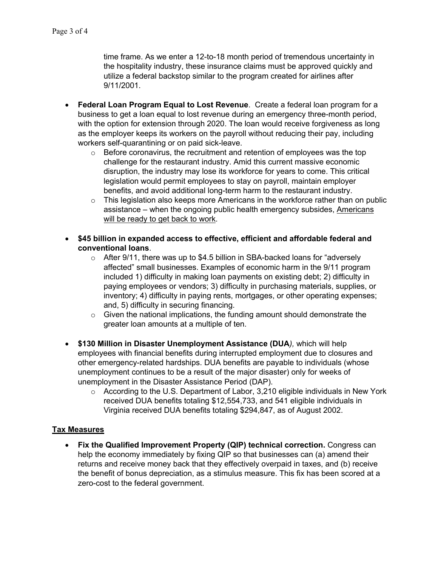time frame. As we enter a 12-to-18 month period of tremendous uncertainty in the hospitality industry, these insurance claims must be approved quickly and utilize a federal backstop similar to the program created for airlines after 9/11/2001.

- **Federal Loan Program Equal to Lost Revenue**. Create a federal loan program for a business to get a loan equal to lost revenue during an emergency three-month period, with the option for extension through 2020. The loan would receive forgiveness as long as the employer keeps its workers on the payroll without reducing their pay, including workers self-quarantining or on paid sick-leave.
	- $\circ$  Before coronavirus, the recruitment and retention of employees was the top challenge for the restaurant industry. Amid this current massive economic disruption, the industry may lose its workforce for years to come. This critical legislation would permit employees to stay on payroll, maintain employer benefits, and avoid additional long-term harm to the restaurant industry.
	- $\circ$  This legislation also keeps more Americans in the workforce rather than on public assistance – when the ongoing public health emergency subsides, Americans will be ready to get back to work.
- **\$45 billion in expanded access to effective, efficient and affordable federal and conventional loans**.
	- $\circ$  After 9/11, there was up to \$4.5 billion in SBA-backed loans for "adversely affected" small businesses. Examples of economic harm in the 9/11 program included 1) difficulty in making loan payments on existing debt; 2) difficulty in paying employees or vendors; 3) difficulty in purchasing materials, supplies, or inventory; 4) difficulty in paying rents, mortgages, or other operating expenses; and, 5) difficulty in securing financing.
	- o Given the national implications, the funding amount should demonstrate the greater loan amounts at a multiple of ten.
- **\$130 Million in Disaster Unemployment Assistance (DUA***),* which will help employees with financial benefits during interrupted employment due to closures and other emergency-related hardships. DUA benefits are payable to individuals (whose unemployment continues to be a result of the major disaster) only for weeks of unemployment in the Disaster Assistance Period (DAP).
	- o According to the U.S. Department of Labor, 3,210 eligible individuals in New York received DUA benefits totaling \$12,554,733, and 541 eligible individuals in Virginia received DUA benefits totaling \$294,847, as of August 2002.

## **Tax Measures**

• **Fix the Qualified Improvement Property (QIP) technical correction.** Congress can help the economy immediately by fixing QIP so that businesses can (a) amend their returns and receive money back that they effectively overpaid in taxes, and (b) receive the benefit of bonus depreciation, as a stimulus measure. This fix has been scored at a zero-cost to the federal government.